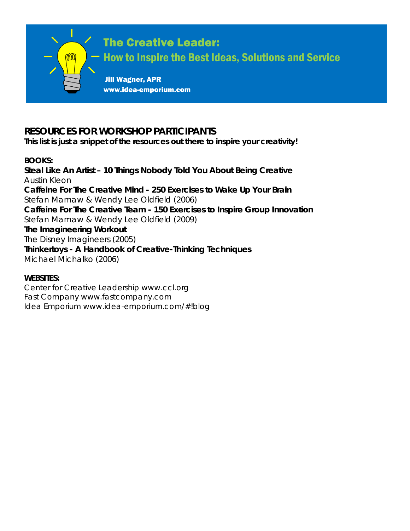

# **RESOURCES FOR WORKSHOP PARTICIPANTS**

**This list is just a snippet of the resources out there to inspire your creativity!**

#### **BOOKS:**

**Steal Like An Artist – 10 Things Nobody Told You About Being Creative** Austin Kleon **Caffeine For The Creative Mind - 250 Exercises to Wake Up Your Brain**  *Stefan Mamaw & Wendy Lee Oldfield (2006)* **Caffeine For The Creative Team - 150 Exercises to Inspire Group Innovation**  *Stefan Mamaw & Wendy Lee Oldfield (2009)* **The Imagineering Workout**  *The Disney Imagineers (2005)* **Thinkertoys - A Handbook of Creative-Thinking Techniques**  *Michael Michalko (2006)*

#### **WEBSITES:**

Center for Creative Leadership *www.ccl.org* Fast Company *www.fastcompany.com* Idea Emporium *www.idea-emporium.com/#!blog*